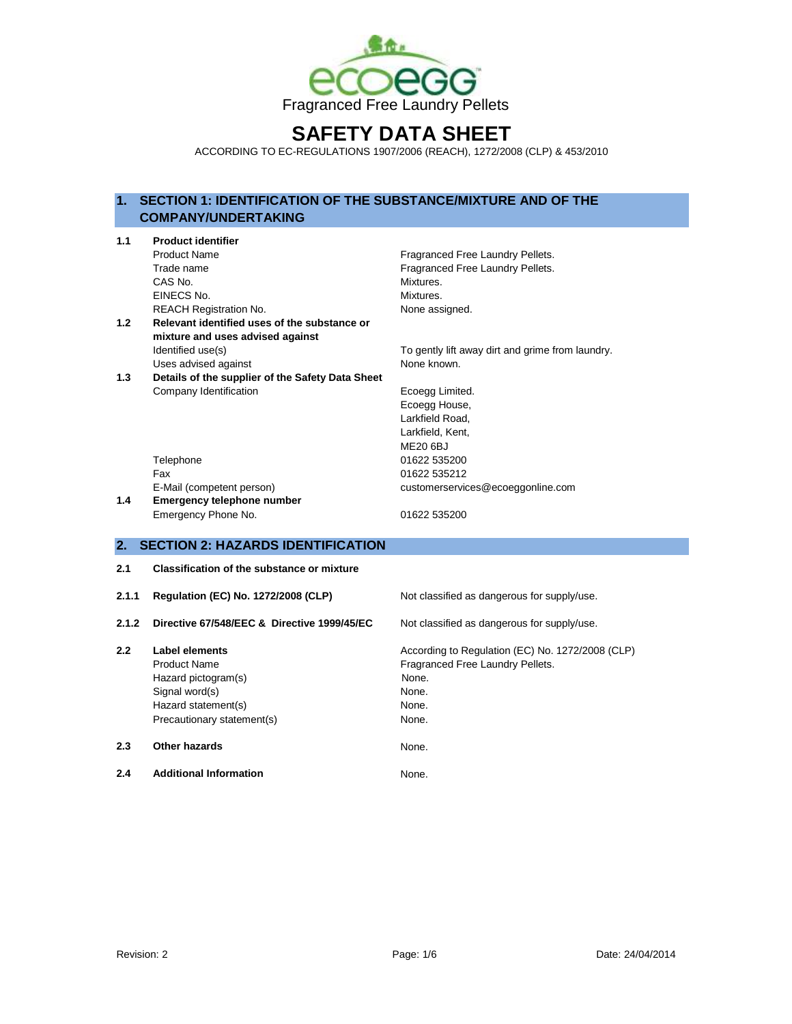

# **SAFETY DATA SHEET**

ACCORDING TO EC-REGULATIONS 1907/2006 (REACH), 1272/2008 (CLP) & 453/2010

# **1. SECTION 1: IDENTIFICATION OF THE SUBSTANCE/MIXTURE AND OF THE COMPANY/UNDERTAKING**

| 1.1   | <b>Product identifier</b>                         |                                                  |  |  |  |  |  |
|-------|---------------------------------------------------|--------------------------------------------------|--|--|--|--|--|
|       | <b>Product Name</b>                               | Fragranced Free Laundry Pellets.                 |  |  |  |  |  |
|       | Trade name                                        | Fragranced Free Laundry Pellets.                 |  |  |  |  |  |
|       | CAS No.                                           | Mixtures.                                        |  |  |  |  |  |
|       | EINECS No.                                        | Mixtures.                                        |  |  |  |  |  |
|       | <b>REACH Registration No.</b>                     | None assigned.                                   |  |  |  |  |  |
| 1.2   | Relevant identified uses of the substance or      |                                                  |  |  |  |  |  |
|       | mixture and uses advised against                  |                                                  |  |  |  |  |  |
|       | Identified use(s)                                 | To gently lift away dirt and grime from laundry. |  |  |  |  |  |
|       | Uses advised against                              | None known.                                      |  |  |  |  |  |
| 1.3   | Details of the supplier of the Safety Data Sheet  |                                                  |  |  |  |  |  |
|       | Company Identification                            | Ecoegg Limited.                                  |  |  |  |  |  |
|       |                                                   | Ecoegg House,                                    |  |  |  |  |  |
|       |                                                   | Larkfield Road.                                  |  |  |  |  |  |
|       |                                                   | Larkfield, Kent,                                 |  |  |  |  |  |
|       |                                                   | <b>ME20 6BJ</b>                                  |  |  |  |  |  |
|       | Telephone                                         | 01622 535200                                     |  |  |  |  |  |
|       | Fax                                               | 01622 535212                                     |  |  |  |  |  |
|       | E-Mail (competent person)                         | customerservices@ecoeggonline.com                |  |  |  |  |  |
| 1.4   | Emergency telephone number                        |                                                  |  |  |  |  |  |
|       | Emergency Phone No.                               | 01622 535200                                     |  |  |  |  |  |
|       |                                                   |                                                  |  |  |  |  |  |
| 2.    | <b>SECTION 2: HAZARDS IDENTIFICATION</b>          |                                                  |  |  |  |  |  |
| 2.1   | <b>Classification of the substance or mixture</b> |                                                  |  |  |  |  |  |
| 2.1.1 | Regulation (EC) No. 1272/2008 (CLP)               |                                                  |  |  |  |  |  |
|       |                                                   | Not classified as dangerous for supply/use.      |  |  |  |  |  |
| 2.1.2 | Directive 67/548/EEC & Directive 1999/45/EC       | Not classified as dangerous for supply/use.      |  |  |  |  |  |
| 2.2   | <b>Label elements</b>                             | According to Regulation (EC) No. 1272/2008 (CLP) |  |  |  |  |  |
|       | <b>Product Name</b>                               | Fragranced Free Laundry Pellets.                 |  |  |  |  |  |
|       | Hazard pictogram(s)                               | None.                                            |  |  |  |  |  |
|       | Signal word(s)                                    | None.                                            |  |  |  |  |  |
|       | Hazard statement(s)                               | None.                                            |  |  |  |  |  |

Precautionary statement(s) None.

# **2.3 Other hazards** None.

**2.4 Additional Information** None.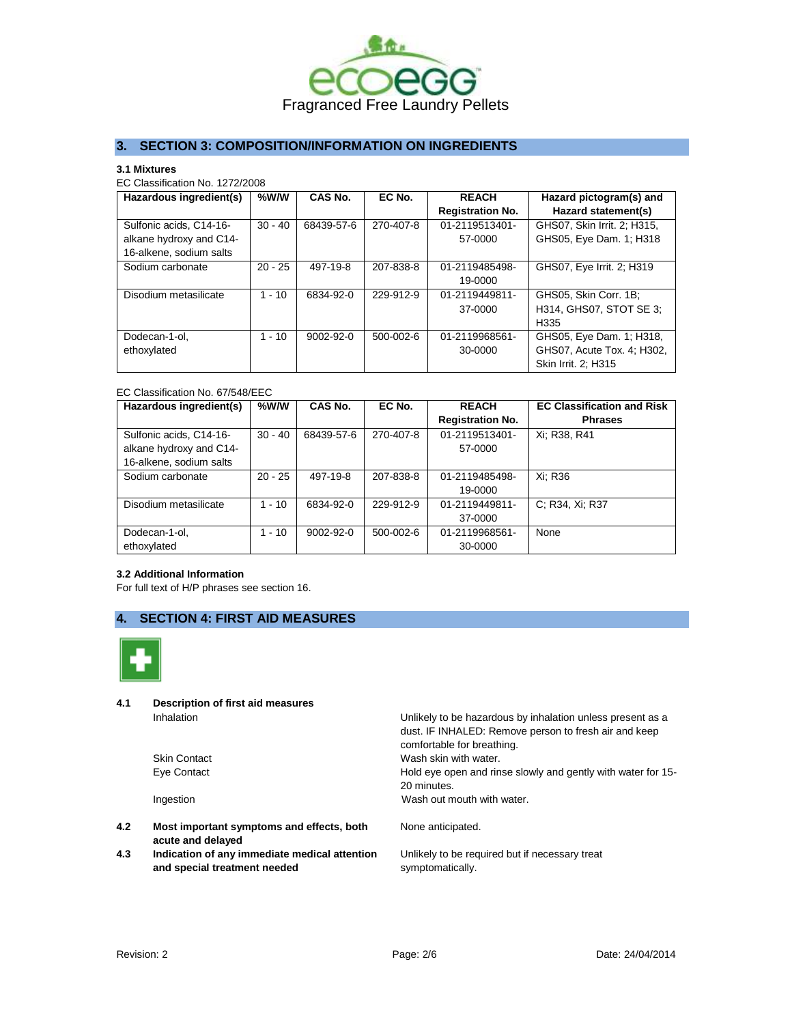

# **3. SECTION 3: COMPOSITION/INFORMATION ON INGREDIENTS**

#### **3.1 Mixtures**

EC Classification No. 1272/2008

| Hazardous ingredient(s)                                                       | %W/W      | CAS No.    | EC No.          | <b>REACH</b><br><b>Registration No.</b> | Hazard pictogram(s) and<br>Hazard statement(s)                                |
|-------------------------------------------------------------------------------|-----------|------------|-----------------|-----------------------------------------|-------------------------------------------------------------------------------|
| Sulfonic acids, C14-16-<br>alkane hydroxy and C14-<br>16-alkene, sodium salts | $30 - 40$ | 68439-57-6 | 270-407-8       | 01-2119513401-<br>57-0000               | GHS07. Skin Irrit. 2: H315.<br>GHS05, Eye Dam. 1; H318                        |
| Sodium carbonate                                                              | $20 - 25$ | 497-19-8   | 207-838-8       | 01-2119485498-<br>19-0000               | GHS07, Eye Irrit. 2; H319                                                     |
| Disodium metasilicate                                                         | $1 - 10$  | 6834-92-0  | 229-912-9       | 01-2119449811-<br>37-0000               | GHS05, Skin Corr. 1B;<br>H314, GHS07, STOT SE 3:<br>H <sub>335</sub>          |
| Dodecan-1-ol.<br>ethoxylated                                                  | $1 - 10$  | 9002-92-0  | $500 - 002 - 6$ | 01-2119968561-<br>30-0000               | GHS05, Eye Dam. 1; H318,<br>GHS07, Acute Tox. 4; H302,<br>Skin Irrit. 2; H315 |

### EC Classification No. 67/548/EEC

| Hazardous ingredient(s) | %W/W      | CAS No.    | EC No.          | <b>REACH</b>            | <b>EC Classification and Risk</b> |
|-------------------------|-----------|------------|-----------------|-------------------------|-----------------------------------|
|                         |           |            |                 | <b>Registration No.</b> | <b>Phrases</b>                    |
| Sulfonic acids, C14-16- | $30 - 40$ | 68439-57-6 | 270-407-8       | 01-2119513401-          | Xi: R38, R41                      |
| alkane hydroxy and C14- |           |            |                 | 57-0000                 |                                   |
| 16-alkene, sodium salts |           |            |                 |                         |                                   |
| Sodium carbonate        | $20 - 25$ | 497-19-8   | 207-838-8       | 01-2119485498-          | Xi: R36                           |
|                         |           |            |                 | 19-0000                 |                                   |
| Disodium metasilicate   | $1 - 10$  | 6834-92-0  | 229-912-9       | 01-2119449811-          | C: R34, Xi; R37                   |
|                         |           |            |                 | 37-0000                 |                                   |
| Dodecan-1-ol.           | $1 - 10$  | 9002-92-0  | $500 - 002 - 6$ | 01-2119968561-          | None                              |
| ethoxylated             |           |            |                 | 30-0000                 |                                   |

## **3.2 Additional Information**

For full text of H/P phrases see section 16.

# **4. SECTION 4: FIRST AID MEASURES**



**4.1 Description of first aid measures**

- **4.2 Most important symptoms and effects, both acute and delayed**
- **4.3 Indication of any immediate medical attention and special treatment needed**

Inhalation **Inhalation** Unlikely to be hazardous by inhalation unless present as a dust. IF INHALED: Remove person to fresh air and keep comfortable for breathing. Skin Contact **Wash skin with water.** Wash skin with water. Eye Contact Hold eye open and rinse slowly and gently with water for 15- 20 minutes. Ingestion **Ingestion** Wash out mouth with water.

None anticipated.

Unlikely to be required but if necessary treat symptomatically.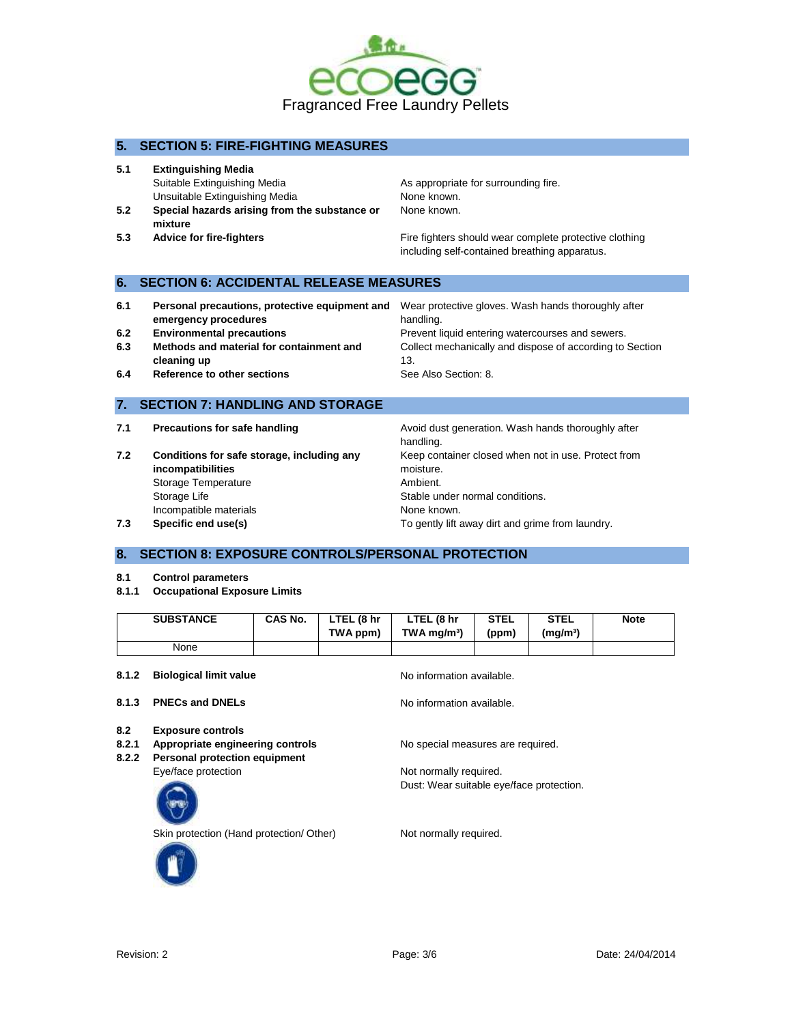

## **5. SECTION 5: FIRE-FIGHTING MEASURES**

- **5.1 Extinguishing Media** Suitable Extinguishing Media **As appropriate for surrounding fire.** Unsuitable Extinguishing Media None Known.
- **5.2 Special hazards arising from the substance or mixture**
- 

None known.

**5.3 Advice for fire-fighters Fire fighters** Fire fighters should wear complete protective clothing including self-contained breathing apparatus.

## **6. SECTION 6: ACCIDENTAL RELEASE MEASURES**

| 6.1 | Personal precautions, protective equipment and<br>emergency procedures | Wear protective gloves. Wash hands thoroughly after<br>handling. |
|-----|------------------------------------------------------------------------|------------------------------------------------------------------|
| 6.2 | <b>Environmental precautions</b>                                       | Prevent liquid entering watercourses and sewers.                 |
| 6.3 | Methods and material for containment and                               | Collect mechanically and dispose of according to Section         |
|     | cleaning up                                                            | 13.                                                              |
| 6.4 | Reference to other sections                                            | See Also Section: 8.                                             |

## **7. SECTION 7: HANDLING AND STORAGE**

- 
- **7.2 Conditions for safe storage, including any incompatibilities** Storage Temperature **Ambient.** Storage Life Storage Life Stable under normal conditions. Incompatible materials **Specific end use(s)** None known.<br> **Specific end use(s)** To gently lift and the specific end use(s) **7.3 Specific end use(s)** To gently lift away dirt and grime from laundry.

**7.1 Precautions for safe handling Avoid dust generation. Wash hands thoroughly after** handling. Keep container closed when not in use. Protect from moisture.

# **8. SECTION 8: EXPOSURE CONTROLS/PERSONAL PROTECTION**

- **8.1 Control parameters**
- **8.1.1 Occupational Exposure Limits**

|       | <b>SUBSTANCE</b>              | <b>CAS No.</b> | LTEL (8 hr<br>TWA ppm) | LTEL (8 hr<br>$TWA$ mg/m <sup>3</sup> ) | <b>STEL</b><br>(ppm) | <b>STEL</b><br>$(m\alpha/m^3)$ | <b>Note</b> |
|-------|-------------------------------|----------------|------------------------|-----------------------------------------|----------------------|--------------------------------|-------------|
|       | None                          |                |                        |                                         |                      |                                |             |
| 8.1.2 | <b>Biological limit value</b> |                |                        | No information available.               |                      |                                |             |

- 
- **8.2 Exposure controls**
- **8.2.1 Appropriate engineering controls** No special measures are required.
- **8.2.2 Personal protection equipment**
	-

**8.1.3 PNECs and DNELs** No information available.

Eye/face protection example and the Not normally required. Dust: Wear suitable eye/face protection.

Skin protection (Hand protection/ Other) Not normally required.

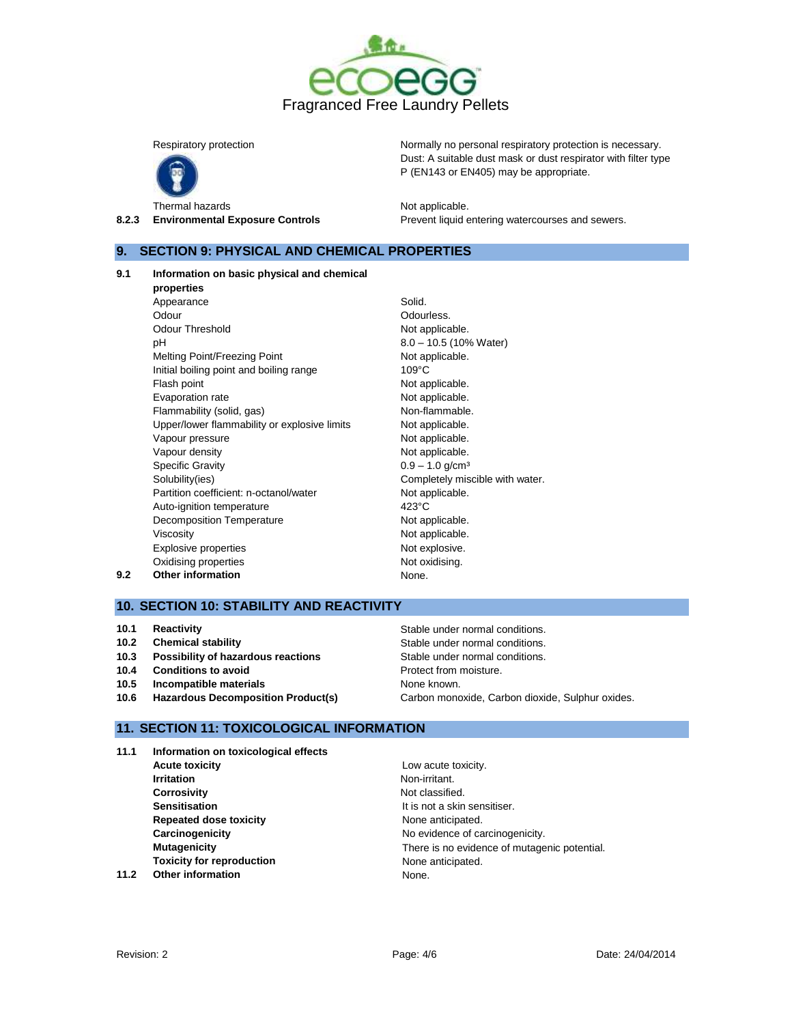



Thermal hazards **Not applicable**.

Respiratory protection **Normally no personal respiratory protection** is necessary. Dust: A suitable dust mask or dust respirator with filter type P (EN143 or EN405) may be appropriate.

**8.2.3 Environmental Exposure Controls Prevent liquid entering watercourses and sewers.** 

## **9. SECTION 9: PHYSICAL AND CHEMICAL PROPERTIES**

#### **9.1 Information on basic physical and chemical**

**properties** Appearance Solid. Odour **Odourless.** Odour Threshold Not applicable. pH 8.0 – 10.5 (10% Water) Melting Point/Freezing Point Not applicable. Initial boiling point and boiling range 109°C Flash point **Not applicable.** Evaporation rate **Not applicable**. Flammability (solid, gas) Non-flammable. Upper/lower flammability or explosive limits Not applicable. Vapour pressure and the Not applicable. Vapour density and the set of the Not applicable. Specific Gravity  $0.9 - 1.0$  g/cm<sup>3</sup> Solubility(ies) Solubility(ies) Completely miscible with water. Partition coefficient: n-octanol/water Not applicable. Auto-ignition temperature 423°C Decomposition Temperature Not applicable. Viscosity **Not applicable.** Explosive properties explosive. Oxidising properties **Not oxidising.** Not oxidising. **9.2 Other information None.** None.

# **10. SECTION 10: STABILITY AND REACTIVITY**

- **10.1 Reactivity 10.1 Reactivity Reactivity Reactivity Stable under normal conditions.**
- **10.2 Chemical stability Stable under normal conditions.**
- **10.3 Possibility of hazardous reactions Stable under normal conditions.**
- **10.4 Conditions to avoid 10.4 Conditions to avoid Protect from moisture.**
- **10.5 Incompatible materials None known. None known.**
- **10.6 Hazardous Decomposition Product(s)** Carbon monoxide, Carbon dioxide, Sulphur oxides.

# **11. SECTION 11: TOXICOLOGICAL INFORMATION**

**11.1 Information on toxicological effects Acute toxicity** Low acute toxicity. **Irritation** Non-irritant. **Corrosivity Corrosivity Note Sensitisation It is not a skin sensitiser. Repeated dose toxicity** None anticipated. **Carcinogenicity Carcinogenicity Carcinogenicity**. **Toxicity for reproduction** None anticipated. **11.2 Other information** None.

**Mutagenicity** There is no evidence of mutagenic potential.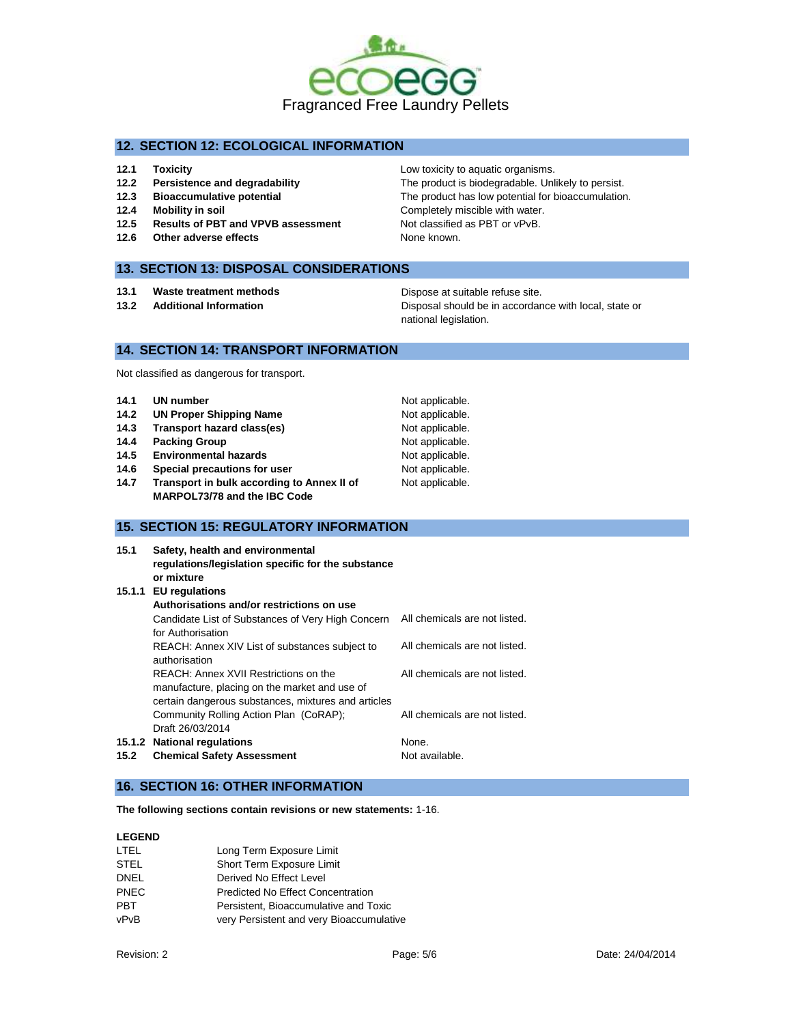

# **12. SECTION 12: ECOLOGICAL INFORMATION**

- **12.1 Toxicity 12.1 Toxicity 12.1 Toxicity 12.1 Low toxicity to aquatic organisms.**
- **12.2 Persistence and degradability** The product is biodegradable. Unlikely to persist.
- **12.3 Bioaccumulative potential** The product has low potential for bioaccumulation.
- **12.4 Mobility in soil 12.4 Mobility in soil Completely miscible with water.**
- 12.5 **Results of PBT and VPVB assessment** Not classified as PBT or vPvB.
- **12.6 Other adverse effects None known.**

## **13. SECTION 13: DISPOSAL CONSIDERATIONS**

- **13.1 Waste treatment methods Dispose at suitable refuse site.**
- 

**13.2 Additional Information** Disposal should be in accordance with local, state or national legislation.

# **14. SECTION 14: TRANSPORT INFORMATION**

Not classified as dangerous for transport.

| 14.1 | <b>UN number</b>                           | Not applicable. |
|------|--------------------------------------------|-----------------|
| 14.2 | <b>UN Proper Shipping Name</b>             | Not applicable. |
| 14.3 | Transport hazard class(es)                 | Not applicable. |
| 14.4 | <b>Packing Group</b>                       | Not applicable. |
| 14.5 | <b>Environmental hazards</b>               | Not applicable. |
| 14.6 | Special precautions for user               | Not applicable. |
| 14.7 | Transport in bulk according to Annex II of | Not applicable. |
|      | MARPOL73/78 and the IBC Code               |                 |

## **15. SECTION 15: REGULATORY INFORMATION**

| 15.1 | Safety, health and environmental<br>regulations/legislation specific for the substance<br>or mixture                                          |                               |
|------|-----------------------------------------------------------------------------------------------------------------------------------------------|-------------------------------|
|      | 15.1.1 EU regulations                                                                                                                         |                               |
|      | Authorisations and/or restrictions on use                                                                                                     |                               |
|      | Candidate List of Substances of Very High Concern<br>for Authorisation                                                                        | All chemicals are not listed. |
|      | REACH: Annex XIV List of substances subject to<br>authorisation                                                                               | All chemicals are not listed. |
|      | REACH: Annex XVII Restrictions on the<br>manufacture, placing on the market and use of<br>certain dangerous substances, mixtures and articles | All chemicals are not listed. |
|      | Community Rolling Action Plan (CoRAP);<br>Draft 26/03/2014                                                                                    | All chemicals are not listed. |
|      | 15.1.2 National regulations                                                                                                                   | None.                         |
| 15.2 | <b>Chemical Safety Assessment</b>                                                                                                             | Not available.                |

## **16. SECTION 16: OTHER INFORMATION**

**The following sections contain revisions or new statements:** 1-16.

### **LEGEND**

| LTEL        | Long Term Exposure Limit                 |
|-------------|------------------------------------------|
| STEL        | Short Term Exposure Limit                |
| <b>DNEL</b> | Derived No Effect Level                  |
| <b>PNEC</b> | <b>Predicted No Effect Concentration</b> |
| <b>PBT</b>  | Persistent. Bioaccumulative and Toxic    |
| vPvB        | very Persistent and very Bioaccumulative |